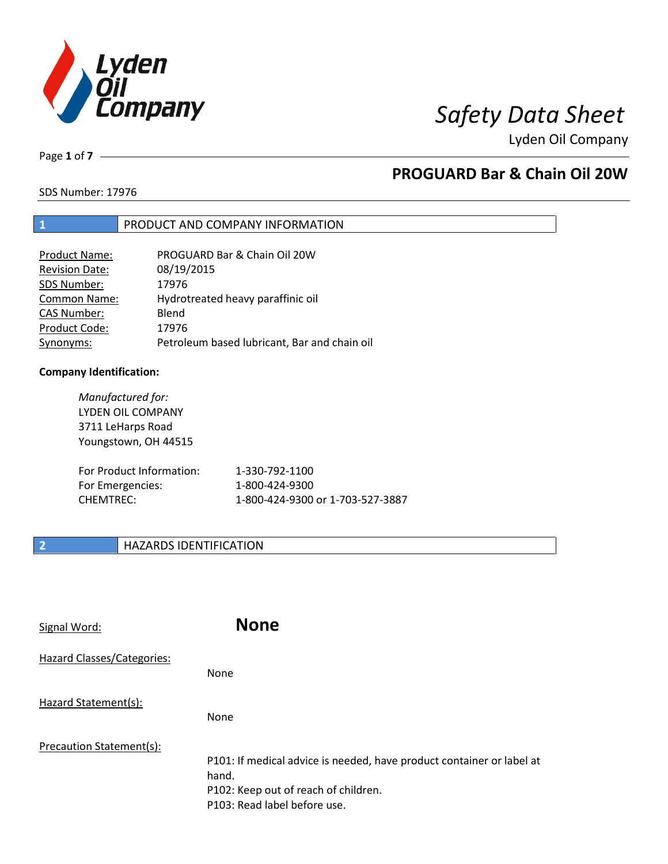

Lyden Oil Company

Page **1** of **7**

# **PROGUARD Bar & Chain Oil 20W**

SDS Number: 17976

### **1** PRODUCT AND COMPANY INFORMATION

| Product Name:         | PROGUARD Bar & Chain Oil 20W                 |
|-----------------------|----------------------------------------------|
| <b>Revision Date:</b> | 08/19/2015                                   |
| SDS Number:           | 17976                                        |
| <b>Common Name:</b>   | Hydrotreated heavy paraffinic oil            |
| <b>CAS Number:</b>    | Blend                                        |
| Product Code:         | 17976                                        |
| Synonyms:             | Petroleum based lubricant, Bar and chain oil |

### **Company Identification:**

*Manufactured for:* LYDEN OIL COMPANY 3711 LeHarps Road Youngstown, OH 44515 For Product Information: 1-330-792-1100 For Emergencies: 1-800-424-9300 CHEMTREC: 1-800-424-9300 or 1-703-527-3887

### **2 HAZARDS IDENTIFICATION**

| Signal Word:               | <b>None</b>                                                                                                                                            |
|----------------------------|--------------------------------------------------------------------------------------------------------------------------------------------------------|
| Hazard Classes/Categories: | None                                                                                                                                                   |
| Hazard Statement(s):       | None                                                                                                                                                   |
| Precaution Statement(s):   | P101: If medical advice is needed, have product container or label at<br>hand.<br>P102: Keep out of reach of children.<br>P103: Read label before use. |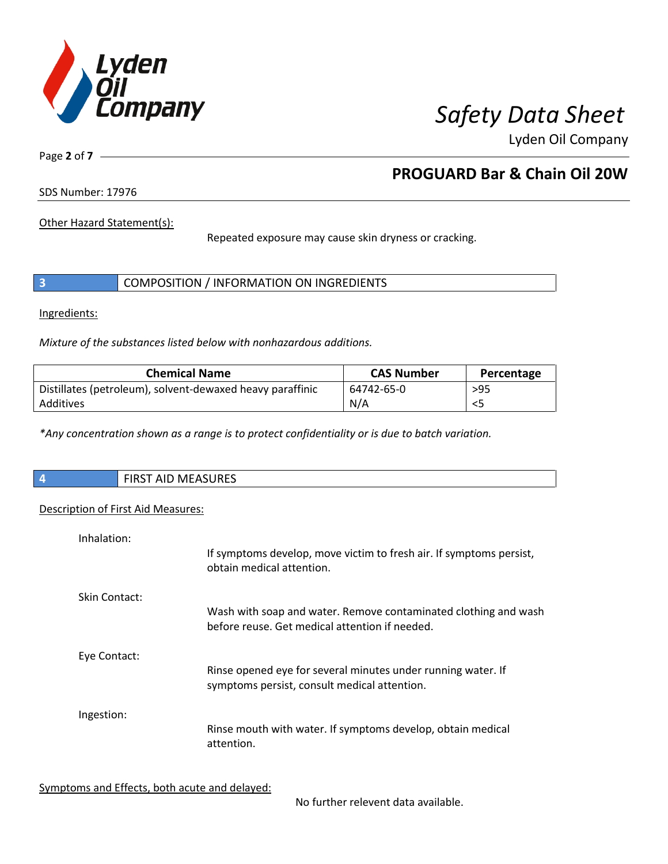

Lyden Oil Company

Page **2** of **7**

# **PROGUARD Bar & Chain Oil 20W**

SDS Number: 17976

Other Hazard Statement(s):

Repeated exposure may cause skin dryness or cracking.

|  | COMPOSITION / INFORMATION ON INGREDIENTS |  |
|--|------------------------------------------|--|
|--|------------------------------------------|--|

Ingredients:

*Mixture of the substances listed below with nonhazardous additions.*

| <b>Chemical Name</b>                                      | <b>CAS Number</b> | Percentage |
|-----------------------------------------------------------|-------------------|------------|
| Distillates (petroleum), solvent-dewaxed heavy paraffinic | 64742-65-0        | $>95$      |
| Additives                                                 | N/A               |            |

*\*Any concentration shown as a range is to protect confidentiality or is due to batch variation.*

| $\overline{\phantom{a}}$ | <b>FIRST AID MEASURES</b> |
|--------------------------|---------------------------|
|                          |                           |

### Description of First Aid Measures:

| Inhalation:   | If symptoms develop, move victim to fresh air. If symptoms persist,<br>obtain medical attention.                  |
|---------------|-------------------------------------------------------------------------------------------------------------------|
| Skin Contact: | Wash with soap and water. Remove contaminated clothing and wash<br>before reuse. Get medical attention if needed. |
| Eye Contact:  | Rinse opened eye for several minutes under running water. If<br>symptoms persist, consult medical attention.      |
| Ingestion:    | Rinse mouth with water. If symptoms develop, obtain medical<br>attention.                                         |

Symptoms and Effects, both acute and delayed:

No further relevent data available.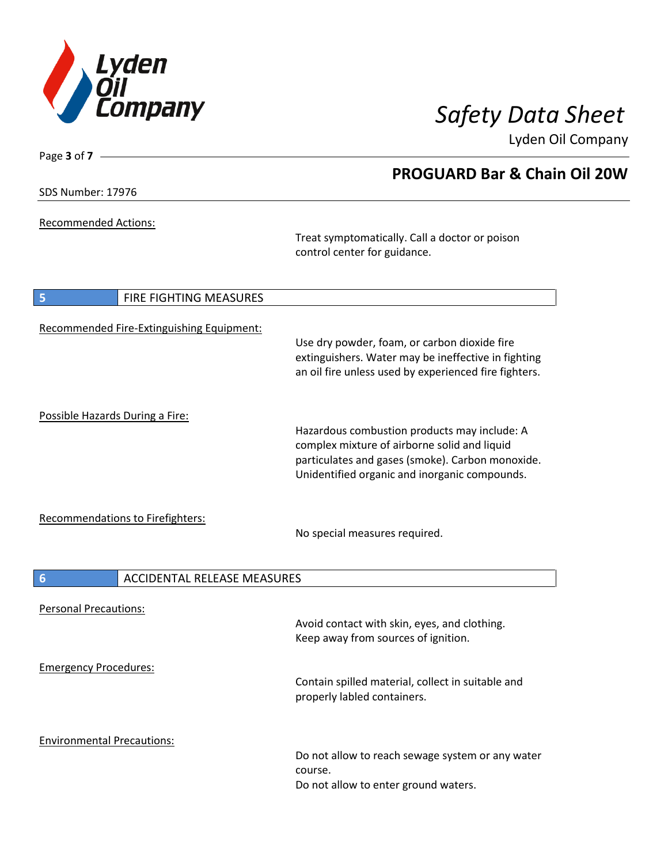

Lyden Oil Company

SDS Number: 17976

Page **3** of **7**

Recommended Actions:

Treat symptomatically. Call a doctor or poison control center for guidance.

| $\vert$ 5                         | <b>FIRE FIGHTING MEASURES</b>             |                                                                                                                                                                                                   |
|-----------------------------------|-------------------------------------------|---------------------------------------------------------------------------------------------------------------------------------------------------------------------------------------------------|
|                                   | Recommended Fire-Extinguishing Equipment: | Use dry powder, foam, or carbon dioxide fire<br>extinguishers. Water may be ineffective in fighting<br>an oil fire unless used by experienced fire fighters.                                      |
| Possible Hazards During a Fire:   |                                           | Hazardous combustion products may include: A<br>complex mixture of airborne solid and liquid<br>particulates and gases (smoke). Carbon monoxide.<br>Unidentified organic and inorganic compounds. |
|                                   | Recommendations to Firefighters:          | No special measures required.                                                                                                                                                                     |
| 6                                 | <b>ACCIDENTAL RELEASE MEASURES</b>        |                                                                                                                                                                                                   |
| <b>Personal Precautions:</b>      |                                           | Avoid contact with skin, eyes, and clothing.<br>Keep away from sources of ignition.                                                                                                               |
| <b>Emergency Procedures:</b>      |                                           | Contain spilled material, collect in suitable and<br>properly labled containers.                                                                                                                  |
| <b>Environmental Precautions:</b> |                                           | Do not allow to reach sewage system or any water<br>course.<br>Do not allow to enter ground waters.                                                                                               |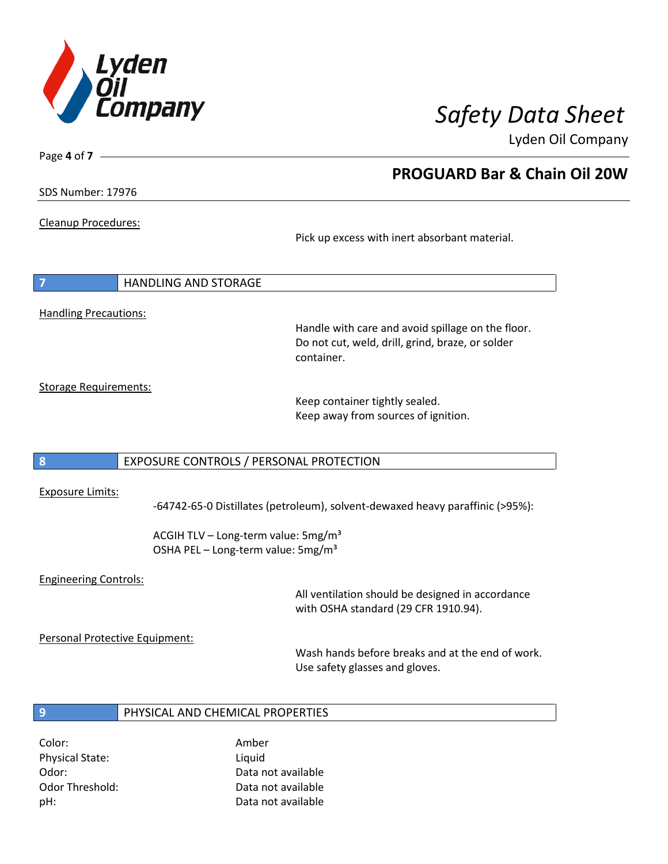

Lyden Oil Company

SDS Number: 17976

Page **4** of **7**

### Cleanup Procedures:

Pick up excess with inert absorbant material.

| $\overline{7}$               | <b>HANDLING AND STORAGE</b> |  |
|------------------------------|-----------------------------|--|
| <b>Handling Precautions:</b> |                             |  |
|                              |                             |  |

Handle with care and avoid spillage on the floor. Do not cut, weld, drill, grind, braze, or solder container.

Storage Requirements:

Keep container tightly sealed. Keep away from sources of ignition.

### **8** EXPOSURE CONTROLS / PERSONAL PROTECTION

### Exposure Limits:

-64742-65-0 Distillates (petroleum), solvent-dewaxed heavy paraffinic (>95%):

ACGIH TLV – Long-term value:  $5mg/m<sup>3</sup>$ OSHA PEL - Long-term value: 5mg/m<sup>3</sup>

### Engineering Controls:

All ventilation should be designed in accordance with OSHA standard (29 CFR 1910.94).

Personal Protective Equipment:

Wash hands before breaks and at the end of work. Use safety glasses and gloves.

### **9** PHYSICAL AND CHEMICAL PROPERTIES

Color: Amber Physical State: Liquid

Odor: Data not available Odor Threshold: Data not available pH: Data not available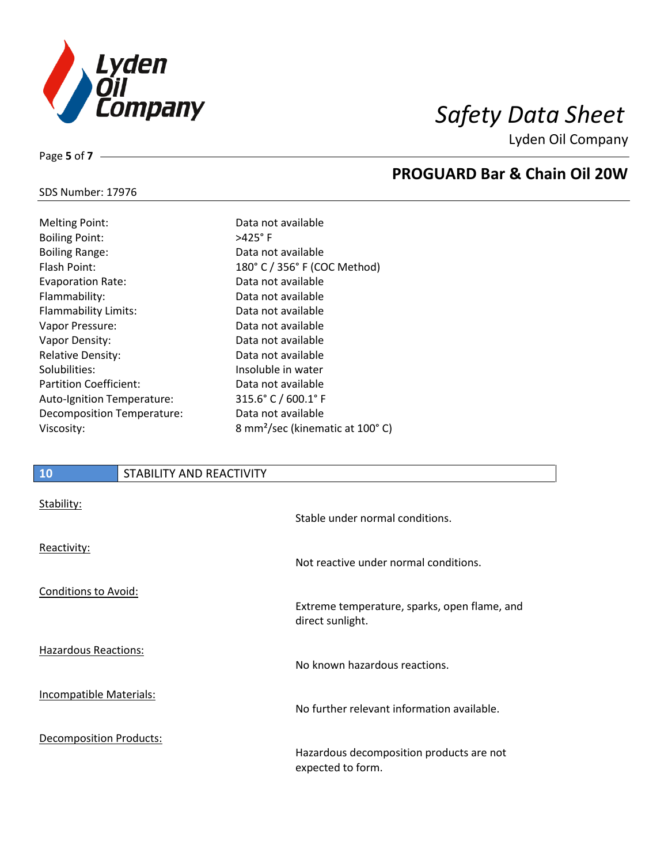

Lyden Oil Company

## SDS Number: 17976

Page **5** of **7**

| <b>Melting Point:</b>         | Data not available                          |
|-------------------------------|---------------------------------------------|
| <b>Boiling Point:</b>         | $>425^\circ$ F                              |
| <b>Boiling Range:</b>         | Data not available                          |
| Flash Point:                  | 180° C / 356° F (COC Method)                |
| <b>Evaporation Rate:</b>      | Data not available                          |
| Flammability:                 | Data not available                          |
| Flammability Limits:          | Data not available                          |
| Vapor Pressure:               | Data not available                          |
| Vapor Density:                | Data not available                          |
| <b>Relative Density:</b>      | Data not available                          |
| Solubilities:                 | Insoluble in water                          |
| <b>Partition Coefficient:</b> | Data not available                          |
| Auto-Ignition Temperature:    | $315.6^{\circ}$ C / 600.1 $^{\circ}$ F      |
| Decomposition Temperature:    | Data not available                          |
| Viscosity:                    | 8 mm <sup>2</sup> /sec (kinematic at 100°C) |

### **10** STABILITY AND REACTIVITY

| Stability:                     | Stable under normal conditions.                               |
|--------------------------------|---------------------------------------------------------------|
| Reactivity:                    | Not reactive under normal conditions.                         |
| <b>Conditions to Avoid:</b>    | Extreme temperature, sparks, open flame, and                  |
|                                | direct sunlight.                                              |
| Hazardous Reactions:           | No known hazardous reactions.                                 |
| Incompatible Materials:        | No further relevant information available.                    |
| <b>Decomposition Products:</b> | Hazardous decomposition products are not<br>expected to form. |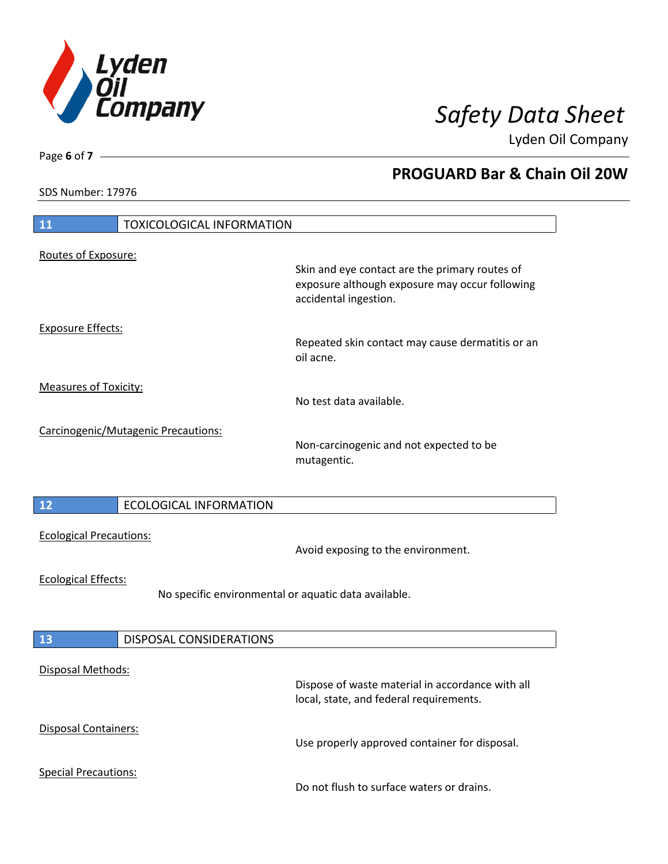

Lyden Oil Company

SDS Number: 17976

# **11** TOXICOLOGICAL INFORMATION Routes of Exposure: Skin and eye contact are the primary routes of exposure although exposure may occur following accidental ingestion. Exposure Effects: Repeated skin contact may cause dermatitis or an oil acne. Measures of Toxicity: No test data available. Carcinogenic/Mutagenic Precautions: Non-carcinogenic and not expected to be mutagentic. **12** ECOLOGICAL INFORMATION Ecological Precautions: Avoid exposing to the environment. Ecological Effects: No specific environmental or aquatic data available. **13** DISPOSAL CONSIDERATIONS Disposal Methods: Dispose of waste material in accordance with all local, state, and federal requirements. Disposal Containers: Use properly approved container for disposal. Special Precautions: Do not flush to surface waters or drains.

Page **6** of **7**